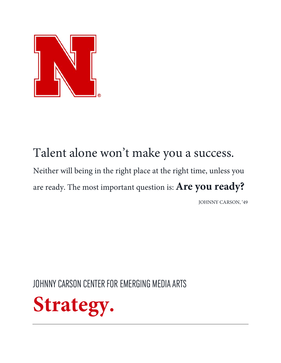

# Talent alone won't make you a success. Neither will being in the right place at the right time, unless you are ready. The most important question is: **Are you ready?**

JOHNNY CARSON, '49

JOHNNY CARSON CENTER FOR EMERGING MEDIA ARTS

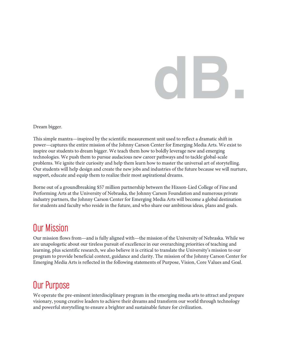# **dB.**

Dream bigger.

This simple mantra—inspired by the scientific measurement unit used to reflect a dramatic shift in power—captures the entire mission of the Johnny Carson Center for Emerging Media Arts. We exist to inspire our students to dream bigger. We teach them how to boldly leverage new and emerging technologies. We push them to pursue audacious new career pathways and to tackle global-scale problems. We ignite their curiosity and help them learn how to master the universal art of storytelling. Our students will help design and create the new jobs and industries of the future because we will nurture, support, educate and equip them to realize their most aspirational dreams.

Borne out of a groundbreaking \$57 million partnership between the Hixson-Lied College of Fine and Performing Arts at the University of Nebraska, the Johnny Carson Foundation and numerous private industry partners, the Johnny Carson Center for Emerging Media Arts will become a global destination for students and faculty who reside in the future, and who share our ambitious ideas, plans and goals.

# Our Mission

Our mission flows from—and is fully aligned with—the mission of the University of Nebraska. While we are unapologetic about our tireless pursuit of excellence in our overarching priorities of teaching and learning, plus scientific research, we also believe it is critical to translate the University's mission to our program to provide beneficial context, guidance and clarity. The mission of the Johnny Carson Center for Emerging Media Arts is reflected in the following statements of Purpose, Vision, Core Values and Goal.

## Our Purpose

We operate the pre-eminent interdisciplinary program in the emerging media arts to attract and prepare visionary, young creative leaders to achieve their dreams and transform our world through technology and powerful storytelling to ensure a brighter and sustainable future for civilization.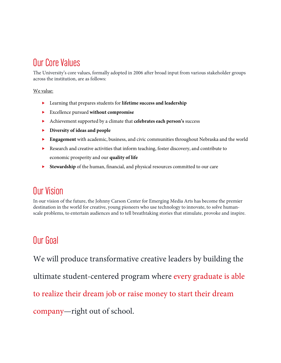# Our Core Values

The University's core values, formally adopted in 2006 after broad input from various stakeholder groups across the institution, are as follows:

We value:

- Learning that prepares students for **lifetime success and leadership**
- Excellence pursued **without compromise**
- Achievement supported by a climate that **celebrates each person's** success
- **Diversity of ideas and people**
- **Engagement** with academic, business, and civic communities throughout Nebraska and the world
- Research and creative activities that inform teaching, foster discovery, and contribute to economic prosperity and our **quality of life**
- **Stewardship** of the human, financial, and physical resources committed to our care

# Our Vision

In our vision of the future, the Johnny Carson Center for Emerging Media Arts has become the premier destination in the world for creative, young pioneers who use technology to innovate, to solve humanscale problems, to entertain audiences and to tell breathtaking stories that stimulate, provoke and inspire.

## Our Goal

We will produce transformative creative leaders by building the ultimate student-centered program where every graduate is able to realize their dream job or raise money to start their dream company—right out of school.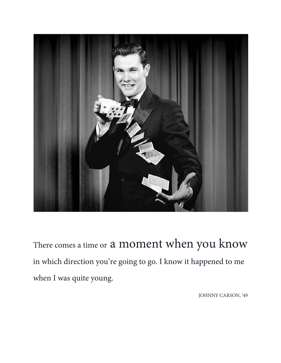

There comes a time or a moment when you know in which direction you're going to go. I know it happened to me when I was quite young.

JOHNNY CARSON, '49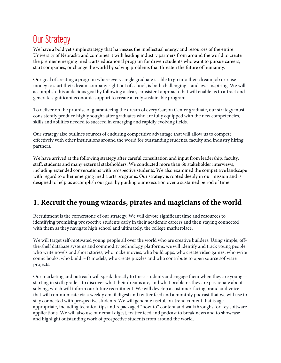# Our Strategy

We have a bold yet simple strategy that harnesses the intellectual energy and resources of the entire University of Nebraska and combines it with leading industry partners from around the world to create the premier emerging media arts educational program for driven students who want to pursue careers, start companies, or change the world by solving problems that threaten the future of humanity.

Our goal of creating a program where every single graduate is able to go into their dream job or raise money to start their dream company right out of school, is both challenging—and awe-inspiring. We will accomplish this audacious goal by following a clear, consistent approach that will enable us to attract and generate significant economic support to create a truly sustainable program.

To deliver on the promise of guaranteeing the dream of every Carson Center graduate, our strategy must consistently produce highly sought-after graduates who are fully equipped with the new competencies, skills and abilities needed to succeed in emerging and rapidly evolving fields.

Our strategy also outlines sources of enduring competitive advantage that will allow us to compete effectively with other institutions around the world for outstanding students, faculty and industry hiring partners.

We have arrived at the following strategy after careful consultation and input from leadership, faculty, staff, students and many external stakeholders. We conducted more than 60 stakeholder interviews, including extended conversations with prospective students. We also examined the competitive landscape with regard to other emerging media arts programs. Our strategy is rooted deeply in our mission and is designed to help us accomplish our goal by guiding our execution over a sustained period of time.

## **1. Recruit the young wizards, pirates and magicians of the world**

Recruitment is the cornerstone of our strategy. We will devote significant time and resources to identifying promising prospective students early in their academic careers and then staying connected with them as they navigate high school and ultimately, the college marketplace.

We will target self-motivated young people all over the world who are creative builders. Using simple, offthe-shelf database systems and commodity technology platforms, we will identify and track young people who write novels and short stories, who make movies, who build apps, who create video games, who write comic books, who build 3-D models, who create puzzles and who contribute to open source software projects.

Our marketing and outreach will speak directly to these students and engage them when they are young starting in sixth grade—to discover what their dreams are, and what problems they are passionate about solving, which will inform our future recruitment. We will develop a customer-facing brand and voice that will communicate via a weekly email digest and twitter feed and a monthly podcast that we will use to stay connected with prospective students. We will generate useful, on-trend content that is ageappropriate, including technical tips and repackaged "how-to" content and walkthroughs for key software applications. We will also use our email digest, twitter feed and podcast to break news and to showcase and highlight outstanding work of prospective students from around the world.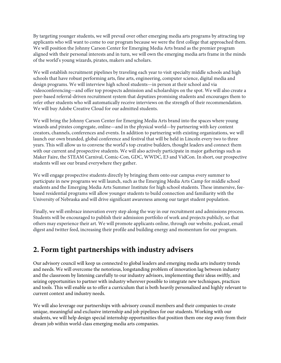By targeting younger students, we will prevail over other emerging media arts programs by attracting top applicants who will want to come to our program because we were the first college that approached them. We will position the Johnny Carson Center for Emerging Media Arts brand as the premier program aligned with their personal interests and in turn, we will own the emerging media arts frame in the minds of the world's young wizards, pirates, makers and scholars.

We will establish recruitment pipelines by traveling each year to visit specialty middle schools and high schools that have robust performing arts, fine arts, engineering, computer science, digital media and design programs. We will interview high school students—in person at their school and via videoconferencing—and offer top prospects admission and scholarships on the spot. We will also create a peer-based referral-driven recruitment system that deputizes promising students and encourages them to refer other students who will automatically receive interviews on the strength of their recommendation. We will buy Adobe Creative Cloud for our admitted students.

We will bring the Johnny Carson Center for Emerging Media Arts brand into the spaces where young wizards and pirates congregate, online—and in the physical world—by partnering with key content creators, channels, conferences and events. In addition to partnering with existing organizations, we will launch our own branded, global conference and festival that will be held in Lincoln every two to three years. This will allow us to convene the world's top creative builders, thought leaders and connect them with our current and prospective students. We will also actively participate in major gatherings such as Maker Faire, the STEAM Carnival, Comic-Con, GDC, WWDC, E3 and VidCon. In short, our prospective students will see our brand everywhere they gather.

We will engage prospective students directly by bringing them onto our campus every summer to participate in new programs we will launch, such as the Emerging Media Arts Camp for middle school students and the Emerging Media Arts Summer Institute for high school students. These immersive, feebased residential programs will allow younger students to build connection and familiarity with the University of Nebraska and will drive significant awareness among our target student population.

Finally, we will embrace innovation every step along the way in our recruitment and admissions process. Students will be encouraged to publish their admission portfolio of work and projects publicly, so that others may experience their art. We will promote applicants online, through our website, podcast, email digest and twitter feed, increasing their profile and building energy and momentum for our program.

## **2. Form tight partnerships with industry advisers**

Our advisory council will keep us connected to global leaders and emerging media arts industry trends and needs. We will overcome the notorious, longstanding problem of innovation lag between industry and the classroom by listening carefully to our industry advisors, implementing their ideas swiftly, and seizing opportunities to partner with industry wherever possible to integrate new techniques, practices and tools. This will enable us to offer a curriculum that is both heavily personalized and highly relevant to current context and industry needs.

We will also leverage our partnerships with advisory council members and their companies to create unique, meaningful and exclusive internship and job pipelines for our students. Working with our students, we will help design special internship opportunities that position them one step away from their dream job within world-class emerging media arts companies.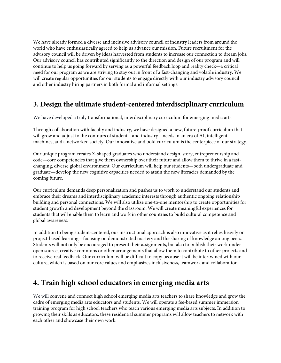We have already formed a diverse and inclusive advisory council of industry leaders from around the world who have enthusiastically agreed to help us advance our mission. Future recruitment for the advisory council will be driven by ideas harvested from students to increase our connection to dream jobs. Our advisory council has contributed significantly to the direction and design of our program and will continue to help us going forward by serving as a powerful feedback loop and reality check—a critical need for our program as we are striving to stay out in front of a fast-changing and volatile industry. We will create regular opportunities for our students to engage directly with our industry advisory council and other industry hiring partners in both formal and informal settings.

## **3. Design the ultimate student-centered interdisciplinary curriculum**

We have developed a truly transformational, interdisciplinary curriculum for emerging media arts.

Through collaboration with faculty and industry, we have designed a new, future-proof curriculum that will grow and adjust to the contours of student—and industry—needs in an era of AI, intelligent machines, and a networked society. Our innovative and bold curriculum is the centerpiece of our strategy.

Our unique program creates X-shaped graduates who understand design, story, entrepreneurship and code—core competencies that give them ownership over their future and allow them to thrive in a fastchanging, diverse global environment. Our curriculum will help our students—both undergraduate and graduate—develop the new cognitive capacities needed to attain the new literacies demanded by the coming future.

Our curriculum demands deep personalization and pushes us to work to understand our students and embrace their dreams and interdisciplinary academic interests through authentic ongoing relationship building and personal connections. We will also utilize one-to-one mentorship to create opportunities for student growth and development beyond the classroom. We will create meaningful experiences for students that will enable them to learn and work in other countries to build cultural competence and global awareness.

In addition to being student-centered, our instructional approach is also innovative as it relies heavily on project-based learning—focusing on demonstrated mastery and the sharing of knowledge among peers. Students will not only be encouraged to present their assignments, but also to publish their work under open source, creative commons or other arrangements that allow them to contribute to other projects and to receive real feedback. Our curriculum will be difficult to copy because it will be intertwined with our culture, which is based on our core values and emphasizes inclusiveness, teamwork and collaboration.

## **4. Train high school educators in emerging media arts**

We will convene and connect high school emerging media arts teachers to share knowledge and grow the cadre of emerging media arts educators and students. We will operate a fee-based summer immersion training program for high school teachers who teach various emerging media arts subjects. In addition to growing their skills as educators, these residential summer programs will allow teachers to network with each other and showcase their own work.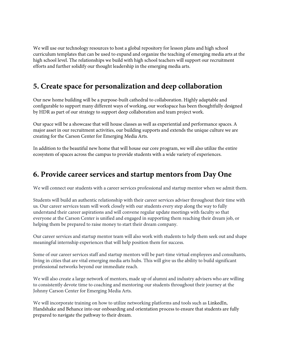We will use our technology resources to host a global repository for lesson plans and high school curriculum templates that can be used to expand and organize the teaching of emerging media arts at the high school level. The relationships we build with high school teachers will support our recruitment efforts and further solidify our thought leadership in the emerging media arts.

## **5. Create space for personalization and deep collaboration**

Our new home building will be a purpose-built cathedral to collaboration. Highly adaptable and configurable to support many different ways of working, our workspace has been thoughtfully designed by HDR as part of our strategy to support deep collaboration and team project work.

Our space will be a showcase that will house classes as well as experiential and performance spaces. A major asset in our recruitment activities, our building supports and extends the unique culture we are creating for the Carson Center for Emerging Media Arts.

In addition to the beautiful new home that will house our core program, we will also utilize the entire ecosystem of spaces across the campus to provide students with a wide variety of experiences.

## **6. Provide career services and startup mentors from Day One**

We will connect our students with a career services professional and startup mentor when we admit them.

Students will build an authentic relationship with their career services adviser throughout their time with us. Our career services team will work closely with our students every step along the way to fully understand their career aspirations and will convene regular update meetings with faculty so that everyone at the Carson Center is unified and engaged in supporting them reaching their dream job, or helping them be prepared to raise money to start their dream company.

Our career services and startup mentor team will also work with students to help them seek out and shape meaningful internship experiences that will help position them for success.

Some of our career services staff and startup mentors will be part-time virtual employees and consultants, living in cities that are vital emerging media arts hubs. This will give us the ability to build significant professional networks beyond our immediate reach.

We will also create a large network of mentors, made up of alumni and industry advisers who are willing to consistently devote time to coaching and mentoring our students throughout their journey at the Johnny Carson Center for Emerging Media Arts.

We will incorporate training on how to utilize networking platforms and tools such as LinkedIn, Handshake and Behance into our onboarding and orientation process to ensure that students are fully prepared to navigate the pathway to their dream.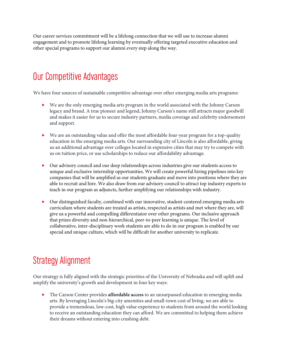Our career services commitment will be a lifelong connection that we will use to increase alumni engagement and to promote lifelong learning by eventually offering targeted executive education and other special programs to support our alumni every step along the way.

# Our Competitive Advantages

We have four sources of sustainable competitive advantage over other emerging media arts programs:

- We are the only emerging media arts program in the world associated with the Johnny Carson legacy and brand. A true pioneer and legend, Johnny Carson's name still attracts major goodwill and makes it easier for us to secure industry partners, media coverage and celebrity endorsement and support.
- We are an outstanding value and offer the most affordable four-year program for a top-quality education in the emerging media arts. Our surrounding city of Lincoln is also affordable, giving us an additional advantage over colleges located in expensive cities that may try to compete with us on tuition price, or use scholarships to reduce our affordability advantage.
- Our advisory council and our deep relationships across industries give our students access to unique and exclusive internship opportunities. We will create powerful hiring pipelines into key companies that will be amplified as our students graduate and move into positions where they are able to recruit and hire. We also draw from our advisory council to attract top industry experts to teach in our program as adjuncts, further amplifying our relationships with industry.
- Our distinguished faculty, combined with our innovative, student-centered emerging media arts curriculum where students are treated as artists, respected as artists and met where they are, will give us a powerful and compelling differentiator over other programs. Our inclusive approach that prizes diversity and non-hierarchical, peer-to-peer learning is unique. The level of collaborative, inter-disciplinary work students are able to do in our program is enabled by our special and unique culture, which will be difficult for another university to replicate.

# Strategy Alignment

Our strategy is fully aligned with the strategic priorities of the University of Nebraska and will uplift and amplify the university's growth and development in four key ways:

 The Carson Center provides **affordable access** to an unsurpassed education in emerging media arts. By leveraging Lincoln's big-city amenities and small-town cost of living, we are able to provide a tremendous, low-cost, high value experience to students from around the world looking to receive an outstanding education they can afford. We are committed to helping them achieve their dreams without entering into crushing debt.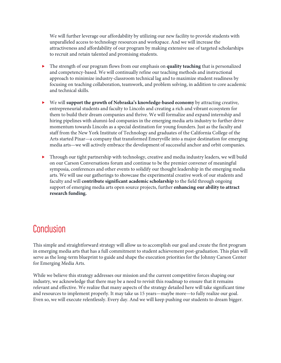We will further leverage our affordability by utilizing our new facility to provide students with unparalleled access to technology resources and workspace. And we will increase the attractiveness and affordability of our program by making extensive use of targeted scholarships to recruit and retain talented and promising students.

- The strength of our program flows from our emphasis on **quality teaching** that is personalized and competency-based. We will continually refine our teaching methods and instructional approach to minimize industry-classroom technical lag and to maximize student readiness by focusing on teaching collaboration, teamwork, and problem solving, in addition to core academic and technical skills.
- We will **support the growth of Nebraska's knowledge-based economy** by attracting creative, entrepreneurial students and faculty to Lincoln and creating a rich and vibrant ecosystem for them to build their dream companies and thrive. We will formalize and expand internship and hiring pipelines with alumni-led companies in the emerging media arts industry to further drive momentum towards Lincoln as a special destination for young founders. Just as the faculty and staff from the New York Institute of Technology and graduates of the California College of the Arts started Pixar—a company that transformed Emeryville into a major destination for emerging media arts—we will actively embrace the development of successful anchor and orbit companies.
- Through our tight partnership with technology, creative and media industry leaders, we will build on our Carson Conversations forum and continue to be the premier convener of meaningful symposia, conferences and other events to solidify our thought leadership in the emerging media arts. We will use our gatherings to showcase the experimental creative work of our students and faculty and will **contribute significant academic scholarship** to the field through ongoing support of emerging media arts open source projects, further **enhancing our ability to attract research funding.**

# **Conclusion**

This simple and straightforward strategy will allow us to accomplish our goal and create the first program in emerging media arts that has a full commitment to student achievement post-graduation. This plan will serve as the long-term blueprint to guide and shape the execution priorities for the Johnny Carson Center for Emerging Media Arts.

While we believe this strategy addresses our mission and the current competitive forces shaping our industry, we acknowledge that there may be a need to revisit this roadmap to ensure that it remains relevant and effective. We realize that many aspects of the strategy detailed here will take significant time and resources to implement properly. It may take us 15 years—maybe more—to fully realize our goal. Even so, we will execute relentlessly. Every day. And we will keep pushing our students to dream bigger.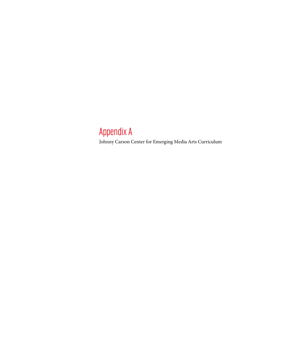# Appendix A

Johnny Carson Center for Emerging Media Arts Curriculum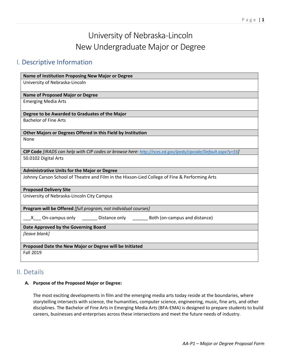## University of Nebraska-Lincoln New Undergraduate Major or Degree

## I. Descriptive Information

| Name of Institution Proposing New Major or Degree                                                           |
|-------------------------------------------------------------------------------------------------------------|
| University of Nebraska-Lincoln                                                                              |
|                                                                                                             |
| <b>Name of Proposed Major or Degree</b>                                                                     |
| <b>Emerging Media Arts</b>                                                                                  |
| Degree to be Awarded to Graduates of the Major                                                              |
| <b>Bachelor of Fine Arts</b>                                                                                |
| Other Majors or Degrees Offered in this Field by Institution                                                |
| None                                                                                                        |
| CIP Code [IRADS can help with CIP codes or browse here: http://nces.ed.gov/ipeds/cipcode/Default.aspx?y=55] |
| 50.0102 Digital Arts                                                                                        |
| <b>Administrative Units for the Major or Degree</b>                                                         |
| Johnny Carson School of Theatre and Film in the Hixson-Lied College of Fine & Performing Arts               |
| <b>Proposed Delivery Site</b>                                                                               |
| University of Nebraska-Lincoln City Campus                                                                  |
| Program will be Offered [full program, not individual courses]                                              |
| X On-campus only _________ Distance only __________ Both (on-campus and distance)                           |
| Date Approved by the Governing Board                                                                        |
| [leave blank]                                                                                               |
| Proposed Date the New Major or Degree will be Initiated                                                     |
| <b>Fall 2019</b>                                                                                            |

## II. Details

#### **A. Purpose of the Proposed Major or Degree:**

The most exciting developments in film and the emerging media arts today reside at the boundaries, where storytelling intersects with science, the humanities, computer science, engineering, music, fine arts, and other disciplines. The Bachelor of Fine Arts in Emerging Media Arts (BFA-EMA) is designed to prepare students to build careers, businesses and enterprises across these intersections and meet the future needs of industry.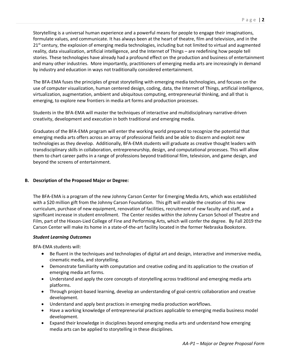Storytelling is a universal human experience and a powerful means for people to engage their imaginations, formulate values, and communicate. It has always been at the heart of theatre, film and television, and in the  $21<sup>st</sup>$  century, the explosion of emerging media technologies, including but not limited to virtual and augmented reality, data visualization, artificial intelligence, and the Internet of Things – are redefining how people tell stories. These technologies have already had a profound effect on the production and business of entertainment and many other industries. More importantly, practitioners of emerging media arts are increasingly in demand by industry and education in ways not traditionally considered entertainment.

The BFA-EMA fuses the principles of great storytelling with emerging media technologies, and focuses on the use of computer visualization, human centered design, coding, data, the Internet of Things, artificial intelligence, virtualization, augmentation, ambient and ubiquitous computing, entrepreneurial thinking, and all that is emerging, to explore new frontiers in media art forms and production processes.

Students in the BFA-EMA will master the techniques of interactive and multidisciplinary narrative-driven creativity, development and execution in both traditional and emerging media.

Graduates of the BFA-EMA program will enter the working world prepared to recognize the potential that emerging media arts offers across an array of professional fields and be able to discern and exploit new technologies as they develop. Additionally, BFA-EMA students will graduate as creative thought leaders with transdisciplinary skills in collaboration, entrepreneurship, design, and computational processes. This will allow them to chart career paths in a range of professions beyond traditional film, television, and game design, and beyond the screens of entertainment.

#### **B. Description of the Proposed Major or Degree:**

The BFA-EMA is a program of the new Johnny Carson Center for Emerging Media Arts, which was established with a \$20 million gift from the Johnny Carson Foundation. This gift will enable the creation of this new curriculum, purchase of new equipment, renovation of facilities, recruitment of new faculty and staff, and a significant increase in student enrollment. The Center resides within the Johnny Carson School of Theatre and Film, part of the Hixson-Lied College of Fine and Performing Arts, which will confer the degree. By Fall 2019 the Carson Center will make its home in a state-of-the-art facility located in the former Nebraska Bookstore.

#### *Student Learning Outcomes*

BFA-EMA students will:

- Be fluent in the techniques and technologies of digital art and design, interactive and immersive media, cinematic media, and storytelling.
- Demonstrate familiarity with computation and creative coding and its application to the creation of emerging media art forms.
- Understand and apply the core concepts of storytelling across traditional and emerging media arts platforms.
- Through project-based learning, develop an understanding of goal-centric collaboration and creative development.
- Understand and apply best practices in emerging media production workflows.
- Have a working knowledge of entrepreneurial practices applicable to emerging media business model development.
- Expand their knowledge in disciplines beyond emerging media arts and understand how emerging media arts can be applied to storytelling in these disciplines.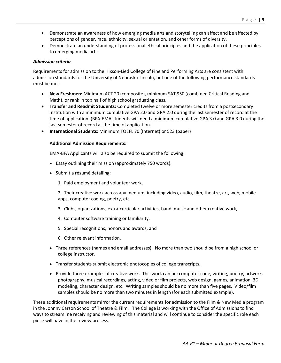- Demonstrate an awareness of how emerging media arts and storytelling can affect and be affected by perceptions of gender, race, ethnicity, sexual orientation, and other forms of diversity.
- Demonstrate an understanding of professional ethical principles and the application of these principles to emerging media arts.

#### *Admission criteria*

Requirements for admission to the Hixson-Lied College of Fine and Performing Arts are consistent with admission standards for the University of Nebraska-Lincoln, but one of the following performance standards must be met:

- **New Freshmen:** Minimum ACT 20 (composite), minimum SAT 950 (combined Critical Reading and Math), or rank in top half of high school graduating class.
- **Transfer and Readmit Students:** Completed twelve or more semester credits from a postsecondary institution with a minimum cumulative GPA 2.0 and GPA 2.0 during the last semester of record at the time of application. (BFA-EMA students will need a minimum cumulative GPA 3.0 and GPA 3.0 during the last semester of record at the time of application.)
- **International Students:** Minimum TOEFL 70 (Internet) or 523 (paper)

#### **Additional Admission Requirements:**

EMA-BFA Applicants will also be required to submit the following:

- Essay outlining their mission (approximately 750 words).
- Submit a résumé detailing:
	- 1. Paid employment and volunteer work,

2. Their creative work across any medium, including video, audio, film, theatre, art, web, mobile apps, computer coding, poetry, etc,

- 3. Clubs, organizations, extra-curricular activities, band, music and other creative work,
- 4. Computer software training or familiarity,
- 5. Special recognitions, honors and awards, and
- 6. Other relevant information.
- Three references (names and email addresses). No more than two should be from a high school or college instructor.
- Transfer students submit electronic photocopies of college transcripts.
- Provide three examples of creative work. This work can be: computer code, writing, poetry, artwork, photography, musical recordings, acting, video or film projects, web design, games, animation, 3D modeling, character design, etc. Writing samples should be no more than five pages. Video/film samples should be no more than two minutes in length (for each submitted example).

These additional requirements mirror the current requirements for admission to the Film & New Media program in the Johnny Carson School of Theatre & Film. The College is working with the Office of Admissions to find ways to streamline receiving and reviewing of this material and will continue to consider the specific role each piece will have in the review process.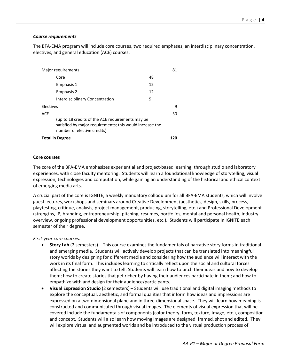#### *Course requirements*

The BFA-EMA program will include core courses, two required emphases, an interdisciplinary concentration, electives, and general education (ACE) courses:

| Major requirements                                                                                                                          |    | 81 |
|---------------------------------------------------------------------------------------------------------------------------------------------|----|----|
| Core                                                                                                                                        | 48 |    |
| Emphasis 1                                                                                                                                  | 12 |    |
| Emphasis 2                                                                                                                                  | 12 |    |
| Interdisciplinary Concentration                                                                                                             | 9  |    |
| Electives                                                                                                                                   |    | 9  |
| <b>ACE</b>                                                                                                                                  |    | 30 |
| (up to 18 credits of the ACE requirements may be<br>satisfied by major requirements; this would increase the<br>number of elective credits) |    |    |
| <b>Total in Degree</b>                                                                                                                      |    |    |

#### **Core courses**

The core of the BFA-EMA emphasizes experiential and project-based learning, through studio and laboratory experiences, with close faculty mentoring. Students will learn a foundational knowledge of storytelling, visual expression, technologies and computation, while gaining an understanding of the historical and ethical context of emerging media arts.

A crucial part of the core is IGNITE, a weekly mandatory colloquium for all BFA-EMA students, which will involve guest lectures, workshops and seminars around Creative Development (aesthetics, design, skills, process, playtesting, critique, analysis, project management, producing, storytelling, etc.) and Professional Development (strengths, IP, branding, entrepreneurship, pitching, resumes, portfolios, mental and personal health, industry overview, ongoing professional development opportunities, etc.). Students will participate in IGNITE each semester of their degree.

#### *First-year core courses:*

- **Story Lab** (2 semesters) This course examines the fundamentals of narrative story forms in traditional and emerging media. Students will actively develop projects that can be translated into meaningful story worlds by designing for different media and considering how the audience will interact with the work in its final form. This includes learning to critically reflect upon the social and cultural forces affecting the stories they want to tell. Students will learn how to pitch their ideas and how to develop them; how to create stories that get richer by having their audiences participate in them; and how to empathize with and design for their audience/participants.
- **Visual Expression Studio** (2 semesters) Students will use traditional and digital imaging methods to explore the conceptual, aesthetic, and formal qualities that inform how ideas and impressions are expressed on a two-dimensional plane and in three-dimensional space. They will learn how meaning is constructed and communicated through visual images. The elements of visual expression that will be covered include the fundamentals of components (color theory, form, texture, image, etc.), composition and concept. Students will also learn how moving images are designed, framed, shot and edited. They will explore virtual and augmented worlds and be introduced to the virtual production process of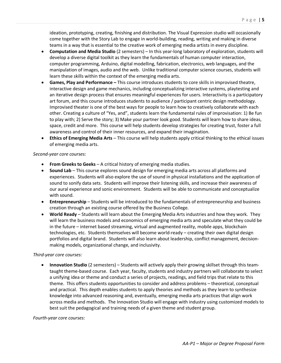ideation, prototyping, creating, finishing and distribution. The Visual Expression studio will occasionally come together with the Story Lab to engage in world-building, reading, writing and making in diverse teams in a way that is essential to the creative work of emerging media artists in every discipline.

- **Computation and Media Studio** (2 semesters) In this year-long laboratory of exploration, students will develop a diverse digital toolkit as they learn the fundamentals of human computer interaction, computer programming, Arduino, digital modelling, fabrication, electronics, web languages, and the manipulation of images, audio and the web. Unlike traditional computer science courses, students will learn these skills within the context of the emerging media arts.
- **Games, Play and Performance –** This course introduces students to core skills in improvised theatre, interactive design and game mechanics, including conceptualizing interactive systems, playtesting and an iterative design process that ensures meaningful experiences for users. Interactivity is a participatory art forum, and this course introduces students to audience / participant centric design methodology. Improvised theater is one of the best ways for people to learn how to creatively collaborate with each other. Creating a culture of "Yes, and", students learn the fundamental rules of improvisation: 1) Be fun to play with; 2) Serve the story; 3) Make your partner look good. Students will learn how to share ideas, space, credit and more. This course will help students develop strategies for creating trust, foster a full awareness and control of their inner resources, and expand their imagination.
- **Ethics of Emerging Media Arts**  This course will help students apply critical thinking to the ethical issues of emerging media arts.

#### *Second-year core courses:*

- **From Greeks to Geeks** A critical history of emerging media studies.
- **Sound Lab** This course explores sound design for emerging media arts across all platforms and experiences. Students will also explore the use of sound in physical installations and the application of sound to sonify data sets. Students will improve their listening skills, and increase their awareness of our aural experience and sonic environment. Students will be able to communicate and conceptualize with sound.
- **Entrepreneurship** Students will be introduced to the fundamentals of entrepreneurship and business creation through an existing course offered by the Business College.
- **World Ready** Students will learn about the Emerging Media Arts industries and how they work. They will learn the business models and economics of emerging media arts and speculate what they could be in the future – internet based streaming, virtual and augmented reality, mobile apps, blockchain technologies, etc. Students themselves will become world-ready – creating their own digital design portfolios and digital brand. Students will also learn about leadership, conflict management, decisionmaking models, organizational change, and inclusivity.

#### *Third-year core courses:*

• **Innovation Studio** (2 semesters) – Students will actively apply their growing skillset through this teamtaught theme-based course. Each year, faculty, students and industry partners will collaborate to select a unifying idea or theme and conduct a series of projects, readings, and field trips that relate to this theme. This offers students opportunities to consider and address problems – theoretical, conceptual and practical. This depth enables students to apply theories and methods as they learn to synthesize knowledge into advanced reasoning and, eventually, emerging media arts practices that align work across media and methods. The Innovation Studio will engage with industry using customized models to best suit the pedagogical and training needs of a given theme and student group.

#### *Fourth-year core courses:*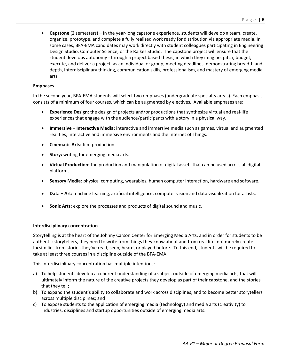• **Capstone** (2 semesters) – In the year-long capstone experience, students will develop a team, create, organize, prototype, and complete a fully realized work ready for distribution via appropriate media. In some cases, BFA-EMA candidates may work directly with student colleagues participating in Engineering Design Studio, Computer Science, or the Raikes Studio. The capstone project will ensure that the student develops autonomy - through a project based thesis, in which they imagine, pitch, budget, execute, and deliver a project, as an individual or group, meeting deadlines, demonstrating breadth and depth, interdisciplinary thinking, communication skills, professionalism, and mastery of emerging media arts.

#### **Emphases**

In the second year, BFA-EMA students will select two emphases (undergraduate specialty areas). Each emphasis consists of a minimum of four courses, which can be augmented by electives. Available emphases are:

- **Experience Design:** the design of projects and/or productions that synthesize virtual and real-life experiences that engage with the audience/participants with a story in a physical way.
- **Immersive + Interactive Media:** interactive and immersive media such as games, virtual and augmented realities; interactive and immersive environments and the Internet of Things.
- **Cinematic Arts:** film production.
- **Story:** writing for emerging media arts.
- **Virtual Production:** the production and manipulation of digital assets that can be used across all digital platforms.
- **Sensory Media:** physical computing, wearables, human computer interaction, hardware and software.
- **Data + Art:** machine learning, artificial intelligence, computer vision and data visualization for artists.
- **Sonic Arts:** explore the processes and products of digital sound and music.

#### **Interdisciplinary concentration**

Storytelling is at the heart of the Johnny Carson Center for Emerging Media Arts, and in order for students to be authentic storytellers, they need to write from things they know about and from real life, not merely create facsimilies from stories they've read, seen, heard, or played before. To this end, students will be required to take at least three courses in a discipline outside of the BFA-EMA.

This interdisciplinary concentration has multiple intentions:

- a) To help students develop a coherent understanding of a subject outside of emerging media arts, that will ultimately inform the nature of the creative projects they develop as part of their capstone, and the stories that they tell;
- b) To expand the student's ability to collaborate and work across disciplines, and to become better storytellers across multiple disciplines; and
- c) To expose students to the application of emerging media (technology) and media arts (creativity) to industries, disciplines and startup opportunities outside of emerging media arts.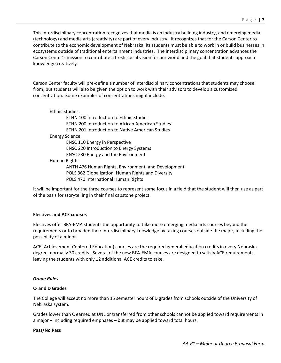This interdisciplinary concentration recognizes that media is an industry building industry, and emerging media (technology) and media arts (creativity) are part of every industry. It recognizes that for the Carson Center to contribute to the economic development of Nebraska, its students must be able to work in or build businesses in ecosystems outside of traditional entertainment industries. The interdisciplinary concentration advances the Carson Center's mission to contribute a fresh social vision for our world and the goal that students approach knowledge creatively.

Carson Center faculty will pre-define a number of interdisciplinary concentrations that students may choose from, but students will also be given the option to work with their advisors to develop a customized concentration. Some examples of concentrations might include:

#### Ethnic Studies:

|                 | <b>ETHN 100 Introduction to Ethnic Studies</b>           |
|-----------------|----------------------------------------------------------|
|                 | <b>ETHN 200 Introduction to African American Studies</b> |
|                 | <b>ETHN 201 Introduction to Native American Studies</b>  |
| Energy Science: |                                                          |
|                 | <b>ENSC 110 Energy in Perspective</b>                    |
|                 | <b>ENSC 220 Introduction to Energy Systems</b>           |
|                 | <b>ENSC 230 Energy and the Environment</b>               |
| Human Rights:   |                                                          |
|                 | ANTH 476 Human Rights, Environment, and Development      |
|                 | POLS 362 Globalization, Human Rights and Diversity       |
|                 | POLS 470 International Human Rights                      |
|                 |                                                          |

It will be important for the three courses to represent some focus in a field that the student will then use as part of the basis for storytelling in their final capstone project.

#### **Electives and ACE courses**

Electives offer BFA-EMA students the opportunity to take more emerging media arts courses beyond the requirements or to broaden their interdisciplinary knowledge by taking courses outside the major, including the possibility of a minor.

ACE (Achievement Centered Education) courses are the required general education credits in every Nebraska degree, normally 30 credits. Several of the new BFA-EMA courses are designed to satisfy ACE requirements, leaving the students with only 12 additional ACE credits to take.

#### *Grade Rules*

#### **C- and D Grades**

The College will accept no more than 15 semester hours of D grades from schools outside of the University of Nebraska system.

Grades lower than C earned at UNL or transferred from other schools cannot be applied toward requirements in a major – including required emphases – but may be applied toward total hours.

#### **Pass/No Pass**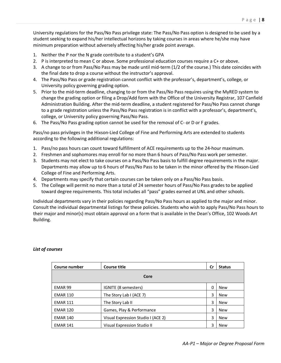University regulations for the Pass/No Pass privilege state: The Pass/No Pass option is designed to be used by a student seeking to expand his/her intellectual horizons by taking courses in areas where he/she may have minimum preparation without adversely affecting his/her grade point average.

- 1. Neither the P nor the N grade contribute to a student's GPA
- 2. P is interpreted to mean C or above. Some professional education courses require a C+ or above.
- 3. A change to or from Pass/No Pass may be made until mid-term (1/2 of the course.) This date coincides with the final date to drop a course without the instructor's approval.
- 4. The Pass/No Pass or grade registration cannot conflict with the professor's, department's, college, or University policy governing grading option.
- 5. Prior to the mid-term deadline, changing to or from the Pass/No Pass requires using the MyRED system to change the grading option or filing a Drop/Add form with the Office of the University Registrar, 107 Canfield Administration Building. After the mid-term deadline, a student registered for Pass/No Pass cannot change to a grade registration unless the Pass/No Pass registration is in conflict with a professor's, department's, college, or University policy governing Pass/No Pass.
- 6. The Pass/No Pass grading option cannot be used for the removal of C- or D or F grades.

Pass/no pass privileges in the Hixson-Lied College of Fine and Performing Arts are extended to students according to the following additional regulations:

- 1. Pass/no pass hours can count toward fulfillment of ACE requirements up to the 24-hour maximum.
- 2. Freshmen and sophomores may enroll for no more than 6 hours of Pass/No Pass work per semester.
- 3. Students may not elect to take courses on a Pass/No Pass basis to fulfill degree requirements in the major. Departments may allow up to 6 hours of Pass/No Pass to be taken in the minor offered by the Hixson-Lied College of Fine and Performing Arts.
- 4. Departments may specify that certain courses can be taken only on a Pass/No Pass basis.
- 5. The College will permit no more than a total of 24 semester hours of Pass/No Pass grades to be applied toward degree requirements. This total includes all "pass" grades earned at UNL and other schools.

Individual departments vary in their policies regarding Pass/No Pass hours as applied to the major and minor. Consult the individual departmental listings for these policies. Students who wish to apply Pass/No Pass hours to their major and minor(s) must obtain approval on a form that is available in the Dean's Office, 102 Woods Art Building.

| Course number      | <b>Course title</b>                | Cr | <b>Status</b> |
|--------------------|------------------------------------|----|---------------|
| Core               |                                    |    |               |
| EMAR <sub>99</sub> | IGNITE (8 semesters)               | 0  | <b>New</b>    |
| <b>EMAR 110</b>    | The Story Lab I (ACE 7)            | 3  | <b>New</b>    |
| <b>EMAR 111</b>    | The Story Lab II                   | 3  | <b>New</b>    |
| <b>EMAR 120</b>    | Games, Play & Performance          | 3  | <b>New</b>    |
| <b>EMAR 140</b>    | Visual Expression Studio I (ACE 2) | 3  | <b>New</b>    |
| <b>EMAR 141</b>    | Visual Expression Studio II        | 3  | <b>New</b>    |

#### *List of courses*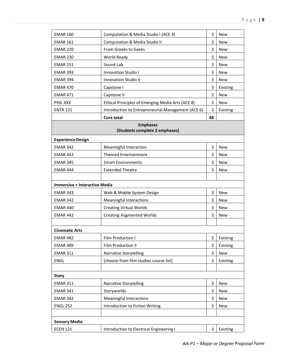| <b>EMAR 160</b>                      | Computation & Media Studio I (ACE 3)               | 3  | <b>New</b> |
|--------------------------------------|----------------------------------------------------|----|------------|
| <b>EMAR 161</b>                      | Computation & Media Studio II                      | 3  | <b>New</b> |
| <b>EMAR 220</b>                      | From Greeks to Geeks                               | 3  | <b>New</b> |
| <b>EMAR 230</b>                      | World Ready                                        | 3  | <b>New</b> |
| <b>EMAR 251</b>                      | Sound Lab                                          | 3  | <b>New</b> |
| <b>EMAR 393</b>                      | Innovation Studio I                                | 3  | <b>New</b> |
| <b>EMAR 394</b>                      | <b>Innovation Studio II</b>                        | 3  | <b>New</b> |
| <b>EMAR 470</b>                      | Capstone I                                         | 3  | Existing   |
| <b>EMAR 471</b>                      | Capstone II                                        | 3  | <b>New</b> |
| PHIL XXX                             | Ethical Principles of Emerging Media Arts (ACE 8)  | 3  | <b>New</b> |
| <b>ENTR 121</b>                      | Introduction to Entrepreneurial Management (ACE 6) | 3  | Existing   |
|                                      | Core total                                         | 48 |            |
|                                      | <b>Emphases</b>                                    |    |            |
|                                      | (Students complete 2 emphases)                     |    |            |
| <b>Experience Design</b>             |                                                    |    |            |
| <b>EMAR 342</b>                      | Meaningful Interaction                             | 3  | <b>New</b> |
| <b>EMAR 443</b>                      | <b>Themed Entertainment</b>                        | 3  | <b>New</b> |
| <b>EMAR 345</b>                      | <b>Smart Environments</b>                          | 3  | <b>New</b> |
| <b>EMAR 444</b>                      | <b>Extended Theatre</b>                            | 3  | <b>New</b> |
|                                      |                                                    |    |            |
| <b>Immersive + Interactive Media</b> |                                                    |    |            |
| <b>EMAR 343</b>                      | Web & Mobile System Design                         | 3  | <b>New</b> |
| <b>EMAR 342</b>                      | <b>Meaningful Interactions</b>                     | 3  | <b>New</b> |
| <b>EMAR 440</b>                      | <b>Creating Virtual Worlds</b>                     | 3  | <b>New</b> |
| <b>EMAR 442</b>                      | <b>Creating Augmented Worlds</b>                   | 3  | New        |
|                                      |                                                    |    |            |
| <b>Cinematic Arts</b>                |                                                    |    |            |
| <b>EMAR 482</b>                      | Film Production I                                  | 3  | Existing   |
| <b>EMAR 489</b>                      | Film Production II                                 | 3  | Existing   |
| <b>EMAR 311</b>                      | Narrative Storytelling                             | 3  | <b>New</b> |
| <b>ENGL</b>                          | [choose from film studies course list]             | 3  | Existing   |
|                                      |                                                    |    |            |
| <b>Story</b>                         |                                                    |    |            |
| <b>EMAR 311</b>                      | Narrative Storytelling                             | 3  | New        |
| <b>EMAR 341</b>                      | Storyworlds                                        | 3  | <b>New</b> |
| <b>EMAR 342</b>                      | Meaningful Interactions                            | 3  | <b>New</b> |
| <b>ENGL 252</b>                      | Introduction to Fiction Writing                    | 3  | New        |
|                                      |                                                    |    |            |
|                                      |                                                    |    |            |
| <b>Sensory Media</b>                 |                                                    |    |            |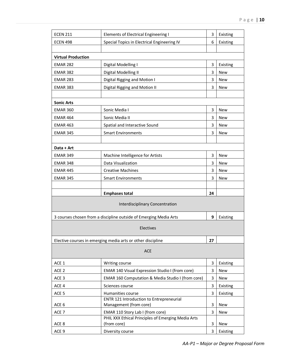| <b>ECEN 211</b>           | <b>Elements of Electrical Engineering I</b>                                            | 3  | Existing   |
|---------------------------|----------------------------------------------------------------------------------------|----|------------|
| <b>ECEN 498</b>           | Special Topics in Electrical Engineering IV                                            | 6  | Existing   |
|                           |                                                                                        |    |            |
| <b>Virtual Production</b> |                                                                                        |    |            |
| <b>EMAR 282</b>           | Digital Modelling I                                                                    | 3  | Existing   |
| <b>EMAR 382</b>           | Digital Modelling II                                                                   | 3  | <b>New</b> |
| <b>EMAR 283</b>           | Digital Rigging and Motion I                                                           | 3  | <b>New</b> |
| <b>EMAR 383</b>           | Digital Rigging and Motion II                                                          | 3  | <b>New</b> |
|                           |                                                                                        |    |            |
| <b>Sonic Arts</b>         |                                                                                        |    |            |
| <b>EMAR 360</b>           | Sonic Media I                                                                          | 3  | <b>New</b> |
| <b>EMAR 464</b>           | Sonic Media II                                                                         | 3  | <b>New</b> |
| <b>EMAR 463</b>           | Spatial and Interactive Sound                                                          | 3  | <b>New</b> |
| <b>EMAR 345</b>           | <b>Smart Environments</b>                                                              | 3  | <b>New</b> |
|                           |                                                                                        |    |            |
| Data + Art                |                                                                                        |    |            |
| <b>EMAR 349</b>           | Machine Intelligence for Artists                                                       | 3  | <b>New</b> |
| <b>EMAR 348</b>           | Data Visualization                                                                     | 3  | <b>New</b> |
| <b>EMAR 445</b>           | <b>Creative Machines</b>                                                               | 3  | <b>New</b> |
| <b>EMAR 345</b>           | <b>Smart Environments</b>                                                              | 3  | <b>New</b> |
|                           |                                                                                        |    |            |
|                           | <b>Emphases total</b>                                                                  | 24 |            |
|                           | <b>Interdisciplinary Concentration</b>                                                 |    |            |
|                           | 3 courses chosen from a discipline outside of Emerging Media Arts                      | 9  | Existing   |
|                           |                                                                                        |    |            |
|                           | Electives                                                                              |    |            |
|                           | Elective courses in emerging media arts or other discipline                            | 27 |            |
| ACE                       |                                                                                        |    |            |
| ACE 1                     | Writing course                                                                         | 3  | Existing   |
| ACE <sub>2</sub>          | EMAR 140 Visual Expression Studio I (from core)                                        | 3  | <b>New</b> |
| ACE <sub>3</sub>          | EMAR 160 Computation & Media Studio I (from core)                                      | 3  | New        |
| ACE 4                     | Sciences course                                                                        | 3  | Existing   |
| ACE <sub>5</sub>          | Humanities course                                                                      | 3  | Existing   |
| ACE 6                     | ENTR 121 Introduction to Entrepreneurial<br>Management (from core)                     | 3  | New        |
| ACE <sub>7</sub>          |                                                                                        |    | New        |
|                           |                                                                                        |    |            |
|                           | EMAR 110 Story Lab I (from core)<br>PHIL XXX Ethical Principles of Emerging Media Arts | 3  |            |
| ACE 8                     | (from core)                                                                            | 3  | New        |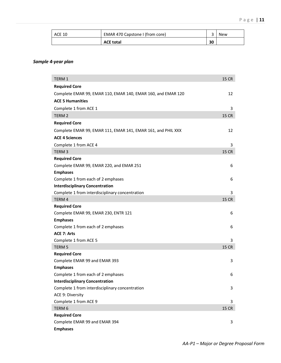| ACE 10 | EMAR 470 Capstone I (from core) |    | <b>New</b> |
|--------|---------------------------------|----|------------|
|        | <b>ACE total</b>                | 30 |            |

#### *Sample 4-year plan*

| <b>TERM 1</b>                                                | <b>15 CR</b> |
|--------------------------------------------------------------|--------------|
| <b>Required Core</b>                                         |              |
| Complete EMAR 99, EMAR 110, EMAR 140, EMAR 160, and EMAR 120 | 12           |
| <b>ACE 5 Humanities</b>                                      |              |
| Complete 1 from ACE 1                                        | 3            |
| TERM <sub>2</sub>                                            | <b>15 CR</b> |
| <b>Required Core</b>                                         |              |
| Complete EMAR 99, EMAR 111, EMAR 141, EMAR 161, and PHIL XXX | 12           |
| <b>ACE 4 Sciences</b>                                        |              |
| Complete 1 from ACE 4                                        | 3            |
| TERM <sub>3</sub>                                            | <b>15 CR</b> |
| <b>Required Core</b>                                         |              |
| Complete EMAR 99, EMAR 220, and EMAR 251                     | 6            |
| <b>Emphases</b>                                              |              |
| Complete 1 from each of 2 emphases                           | 6            |
| <b>Interdisciplinary Concentration</b>                       |              |
| Complete 1 from interdisciplinary concentration              | 3            |
| TERM 4                                                       | <b>15 CR</b> |
| <b>Required Core</b>                                         |              |
| Complete EMAR 99, EMAR 230, ENTR 121                         | 6            |
| <b>Emphases</b>                                              |              |
| Complete 1 from each of 2 emphases                           | 6            |
| <b>ACE 7: Arts</b>                                           |              |
| Complete 1 from ACE 5                                        | 3            |
| TERM <sub>5</sub><br><b>Required Core</b>                    | <b>15 CR</b> |
|                                                              | 3            |
| Complete EMAR 99 and EMAR 393<br><b>Emphases</b>             |              |
| Complete 1 from each of 2 emphases                           | 6            |
| <b>Interdisciplinary Concentration</b>                       |              |
| Complete 1 from interdisciplinary concentration              | 3            |
| ACE 9: Diversity                                             |              |
| Complete 1 from ACE 9                                        | 3            |
| TERM <sub>6</sub>                                            | <b>15 CR</b> |
| <b>Required Core</b>                                         |              |
| Complete EMAR 99 and EMAR 394                                | 3            |
| <b>Emphases</b>                                              |              |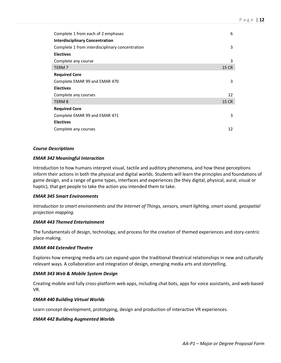| Complete 1 from each of 2 emphases              | 6     |
|-------------------------------------------------|-------|
| <b>Interdisciplinary Concentration</b>          |       |
| Complete 1 from interdisciplinary concentration | 3     |
| <b>Electives</b>                                |       |
| Complete any course                             | 3     |
| TERM 7                                          | 15 CR |
| <b>Required Core</b>                            |       |
| Complete EMAR 99 and EMAR 470                   | 3     |
| <b>Electives</b>                                |       |
| Complete any courses                            | 12    |
| TERM 8                                          | 15 CR |
| <b>Required Core</b>                            |       |
| Complete EMAR 99 and EMAR 471                   | 3     |
| <b>Electives</b>                                |       |
| Complete any courses                            | 12    |

#### *Course Descriptions*

#### *EMAR 342 Meaningful Interaction*

Introduction to how humans interpret visual, tactile and auditory phenomena, and how these perceptions inform their actions in both the physical and digital worlds. Students will learn the principles and foundations of game design, and a range of game types, interfaces and experiences (be they digital, physical, aural, visual or haptic), that get people to take the action you intended them to take.

#### *EMAR 345 Smart Environments*

*Introduction to smart environments and the Internet of Things, sensors, smart lighting, smart sound, geospatial projection mapping.*

#### *EMAR 443 Themed Entertainment*

The fundamentals of design, technology, and process for the creation of themed experiences and story-centric place-making.

#### *EMAR 444 Extended Theatre*

Explores how emerging media arts can expand upon the traditional theatrical relationships in new and culturally relevant ways. A collaboration and integration of design, emerging media arts and storytelling.

#### *EMAR 343 Web & Mobile System Design*

Creating mobile and fully cross-platform web apps, including chat bots, apps for voice assistants, and web-based VR.

#### *EMAR 440 Building Virtual Worlds*

Learn concept development, prototyping, design and production of interactive VR experiences.

#### *EMAR 442 Building Augmented Worlds*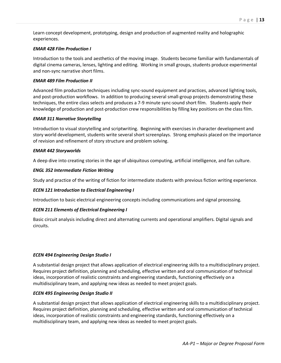Learn concept development, prototyping, design and production of augmented reality and holographic experiences.

#### *EMAR 428 Film Production I*

Introduction to the tools and aesthetics of the moving image. Students become familiar with fundamentals of digital cinema cameras, lenses, lighting and editing. Working in small groups, students produce experimental and non-sync narrative short films.

#### *EMAR 489 Film Production II*

Advanced film production techniques including sync-sound equipment and practices, advanced lighting tools, and post-production workflows. In addition to producing several small-group projects demonstrating these techniques, the entire class selects and produces a 7-9 minute sync-sound short film. Students apply their knowledge of production and post-production crew responsibilities by filling key positions on the class film.

#### *EMAR 311 Narrative Storytelling*

Introduction to visual storytelling and scriptwriting. Beginning with exercises in character development and story world development, students write several short screenplays. Strong emphasis placed on the importance of revision and refinement of story structure and problem solving.

#### *EMAR 442 Storyworlds*

A deep dive into creating stories in the age of ubiquitous computing, artificial intelligence, and fan culture.

#### *ENGL 352 Intermediate Fiction Writing*

Study and practice of the writing of fiction for intermediate students with previous fiction writing experience.

#### *ECEN 121 Introduction to Electrical Engineering I*

Introduction to basic electrical engineering concepts including communications and signal processing.

#### *ECEN 211 Elements of Electrical Engineering I*

Basic circuit analysis including direct and alternating currents and operational amplifiers. Digital signals and circuits.

#### *ECEN 494 Engineering Design Studio I*

A substantial design project that allows application of electrical engineering skills to a multidisciplinary project. Requires project definition, planning and scheduling, effective written and oral communication of technical ideas, incorporation of realistic constraints and engineering standards, functioning effectively on a multidisciplinary team, and applying new ideas as needed to meet project goals.

#### *ECEN 495 Engineering Design Studio II*

A substantial design project that allows application of electrical engineering skills to a multidisciplinary project. Requires project definition, planning and scheduling, effective written and oral communication of technical ideas, incorporation of realistic constraints and engineering standards, functioning effectively on a multidisciplinary team, and applying new ideas as needed to meet project goals.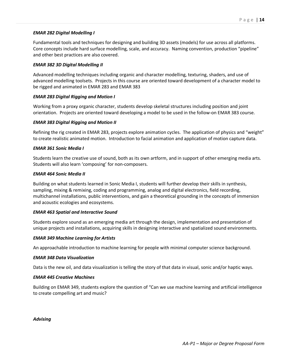#### *EMAR 282 Digital Modelling I*

Fundamental tools and techniques for designing and building 3D assets (models) for use across all platforms. Core concepts include hard surface modelling, scale, and accuracy. Naming convention, production "pipeline" and other best practices are also covered.

#### *EMAR 382 3D Digital Modelling II*

Advanced modelling techniques including organic and character modelling, texturing, shaders, and use of advanced modelling toolsets. Projects in this course are oriented toward development of a character model to be rigged and animated in EMAR 283 and EMAR 383

#### *EMAR 283 Digital Rigging and Motion I*

Working from a proxy organic character, students develop skeletal structures including position and joint orientation. Projects are oriented toward developing a model to be used in the follow-on EMAR 383 course.

#### *EMAR 383 Digital Rigging and Motion II*

Refining the rig created in EMAR 283, projects explore animation cycles. The application of physics and "weight" to create realistic animated motion. Introduction to facial animation and application of motion capture data.

#### *EMAR 361 Sonic Media I*

Students learn the creative use of sound, both as its own artform, and in support of other emerging media arts. Students will also learn 'composing' for non-composers.

#### *EMAR 464 Sonic Media II*

Building on what students learned in Sonic Media I, students will further develop their skills in synthesis, sampling, mixing & remixing, coding and programming, analog and digital electronics, field recording, multichannel installations, public interventions, and gain a theoretical grounding in the concepts of immersion and acoustic ecologies and ecosystems.

#### *EMAR 463 Spatial and Interactive Sound*

Students explore sound as an emerging media art through the design, implementation and presentation of unique projects and installations, acquiring skills in designing interactive and spatialized sound environments.

#### *EMAR 349 Machine Learning for Artists*

An approachable introduction to machine learning for people with minimal computer science background.

#### *EMAR 348 Data Visualization*

Data is the new oil, and data visualization is telling the story of that data in visual, sonic and/or haptic ways.

#### *EMAR 445 Creative Machines*

Building on EMAR 349, students explore the question of "Can we use machine learning and artificial intelligence to create compelling art and music?

*Advising*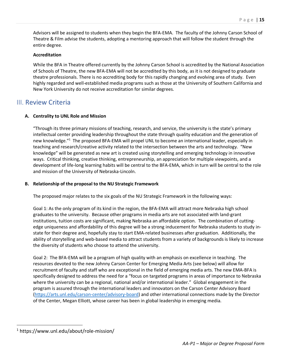Advisors will be assigned to students when they begin the BFA-EMA. The faculty of the Johnny Carson School of Theatre & Film advise the students, adopting a mentoring approach that will follow the student through the entire degree.

#### **Accreditation**

While the BFA in Theatre offered currently by the Johnny Carson School is accredited by the National Association of Schools of Theatre, the new BFA-EMA will not be accredited by this body, as it is not designed to graduate theatre professionals. There is no accrediting body for this rapidly changing and evolving area of study. Even highly regarded and well-established media programs such as those at the University of Southern California and New York University do not receive accreditation for similar degrees.

### III. Review Criteria

#### **A. Centrality to UNL Role and Mission**

"Through its three primary missions of teaching, research, and service, the university is the state's primary intellectual center providing leadership throughout the state through quality education and the generation of new knowledge."<sup>1</sup> The proposed BFA-EMA will propel UNL to become an international leader, especially in teaching and research/creative activity related to the intersection between the arts and technology. "New knowledge" will be generated as new art is created using storytelling and emerging technology in innovative ways. Critical thinking, creative thinking, entrepreneurship, an appreciation for multiple viewpoints, and a development of life-long learning habits will be central to the BFA-EMA, which in turn will be central to the role and mission of the University of Nebraska-Lincoln.

#### **B. Relationship of the proposal to the NU Strategic Framework**

The proposed major relates to the six goals of the NU Strategic Framework in the following ways:

Goal 1: As the only program of its kind in the region, the BFA-EMA will attract more Nebraska high school graduates to the university. Because other programs in media arts are not associated with land-grant institutions, tuition costs are significant, making Nebraska an affordable option. The combination of cuttingedge uniqueness and affordability of this degree will be a strong inducement for Nebraska students to study instate for their degree and, hopefully stay to start EMA-related businesses after graduation. Additionally, the ability of storytelling and web-based media to attract students from a variety of backgrounds is likely to increase the diversity of students who choose to attend the university.

Goal 2: The BFA-EMA will be a program of high quality with an emphasis on excellence in teaching. The resources devoted to the new Johnny Carson Center for Emerging Media Arts (see below) will allow for recruitment of faculty and staff who are exceptional in the field of emerging media arts. The new EMA-BFA is specifically designed to address the need for a "focus on targeted programs in areas of importance to Nebraska where the university can be a regional, national and/or international leader." Global engagement in the program is assured through the international leaders and innovators on the Carson Center Advisory Board (https://arts.unl.edu/carson-center/advisory-board) and other international connections made by the Director of the Center, Megan Elliott, whose career has been in global leadership in emerging media.

 <sup>1</sup> https://www.unl.edu/about/role-mission/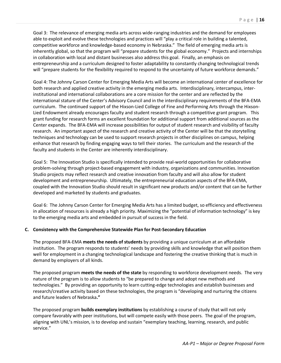Goal 3: The relevance of emerging media arts across wide-ranging industries and the demand for employees able to exploit and evolve these technologies and practices will "play a critical role in building a talented, competitive workforce and knowledge-based economy in Nebraska." The field of emerging media arts is inherently global, so that the program will "prepare students for the global economy." Projects and internships in collaboration with local and distant businesses also address this goal. Finally, an emphasis on entrepreneurship and a curriculum designed to foster adaptability to constantly changing technological trends will "prepare students for the flexibility required to respond to the uncertainty of future workforce demands."

Goal 4: The Johnny Carson Center for Emerging Media Arts will become an international center of excellence for both research and applied creative activity in the emerging media arts. Interdisciplinary, intercampus, interinstitutional and international collaborations are a core mission for the center and are reflected by the international stature of the Center's Advisory Council and in the interdisciplinary requirements of the BFA-EMA curriculum. The continued support of the Hixson-Lied College of Fine and Performing Arts through the Hixson-Lied Endowment already encourages faculty and student research through a competitive grant program. This grant funding for research forms an excellent foundation for additional support from additional sources as the Center expands. The BFA-EMA will increase possibilities for output of student research and visibility of faculty research. An important aspect of the research and creative activity of the Center will be that the storytelling techniques and technology can be used to support research projects in other disciplines on campus, helping enhance that research by finding engaging ways to tell their stories. The curriculum and the research of the faculty and students in the Center are inherently interdisciplinary.

Goal 5: The Innovation Studio is specifically intended to provide real-world opportunities for collaborative problem-solving through project-based engagement with industry, organizations and communities. Innovation Studio projects may reflect research and creative innovation from faculty and will also allow for student development and entrepreneurship. Ultimately, the entrepreneurial education aspects of the BFA-EMA, coupled with the Innovation Studio should result in significant new products and/or content that can be further developed and marketed by students and graduates.

Goal 6: The Johnny Carson Center for Emerging Media Arts has a limited budget, so efficiency and effectiveness in allocation of resources is already a high priority. Maximizing the "potential of information technology" is key to the emerging media arts and embedded in pursuit of success in the field.

#### **C. Consistency with the Comprehensive Statewide Plan for Post-Secondary Education**

The proposed BFA-EMA **meets the needs of students** by providing a unique curriculum at an affordable institution. The program responds to students' needs by providing skills and knowledge that will position them well for employment in a changing technological landscape and fostering the creative thinking that is much in demand by employers of all kinds.

The proposed program **meets the needs of the state** by responding to workforce development needs. The very nature of the program is to allow students to "be prepared to change and adopt new methods and technologies." By providing an opportunity to learn cutting-edge technologies and establish businesses and research/creative activity based on these technologies, the program is "developing and nurturing the citizens and future leaders of Nebraska**."**

The proposed program **builds exemplary institutions** by establishing a course of study that will not only compare favorably with peer institutions, but will compete easily with those peers. The goal of the program, aligning with UNL's mission, is to develop and sustain "exemplary teaching, learning, research, and public service."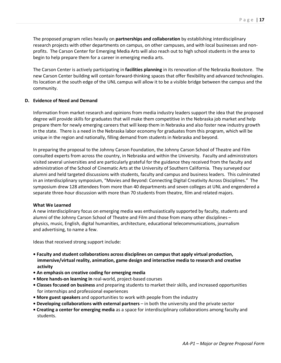The proposed program relies heavily on **partnerships and collaboration** by establishing interdisciplinary research projects with other departments on campus, on other campuses, and with local businesses and nonprofits. The Carson Center for Emerging Media Arts will also reach out to high school students in the area to begin to help prepare them for a career in emerging media arts.

The Carson Center is actively participating in **facilities planning** in its renovation of the Nebraska Bookstore. The new Carson Center building will contain forward-thinking spaces that offer flexibility and advanced technologies. Its location at the south edge of the UNL campus will allow it to be a visible bridge between the campus and the community.

#### **D. Evidence of Need and Demand**

Information from market research and opinions from media industry leaders support the idea that the proposed degree will provide skills for graduates that will make them competitive in the Nebraska job market and help prepare them for newly emerging careers that will keep them in Nebraska and also foster new industry growth in the state. There is a need in the Nebraska labor economy for graduates from this program, which will be unique in the region and nationally, filling demand from students in Nebraska and beyond.

In preparing the proposal to the Johnny Carson Foundation, the Johnny Carson School of Theatre and Film consulted experts from across the country, in Nebraska and within the University. Faculty and administrators visited several universities and are particularly grateful for the guidance they received from the faculty and administration of the School of Cinematic Arts at the University of Southern California. They surveyed our alumni and held targeted discussions with students, faculty and campus and business leaders. This culminated in an interdisciplinary symposium, "Movies and Beyond: Connecting Digital Creativity Across Disciplines." The symposium drew 128 attendees from more than 40 departments and seven colleges at UNL and engendered a separate three-hour discussion with more than 70 students from theatre, film and related majors.

#### **What We Learned**

A new interdisciplinary focus on emerging media was enthusiastically supported by faculty, students and alumni of the Johnny Carson School of Theatre and Film and those from many other disciplines – physics, music, English, digital humanities, architecture, educational telecommunications, journalism and advertising, to name a few.

Ideas that received strong support include:

- **• Faculty and student collaborations across disciplines on campus that apply virtual production, immersive/virtual reality, animation, game design and interactive media to research and creative activity**
- **• An emphasis on creative coding for emerging media**
- **More hands-on learning in** real-world, project-based courses
- **Classes fo**c**used on business** and preparing students to market their skills, and increased opportunities for internships and professional experiences
- **More guest speakers** and opportunities to work with people from the industry
- **Developing collaborations with external partners** in both the university and the private sector
- **Creating a center for emerging media** as a space for interdisciplinary collaborations among faculty and students.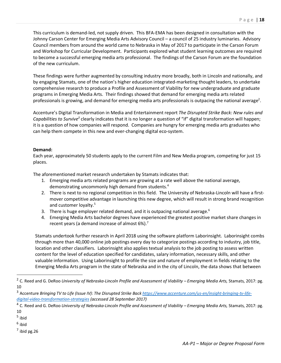This curriculum is demand-led, not supply driven. This BFA-EMA has been designed in consultation with the Johnny Carson Center for Emerging Media Arts Advisory Council – a council of 25 industry luminaries. Advisory Council members from around the world came to Nebraska in May of 2017 to participate in the Carson Forum and Workshop for Curricular Development. Participants explored what student learning outcomes are required to become a successful emerging media arts professional. The findings of the Carson Forum are the foundation of the new curriculum.

These findings were further augmented by consulting industry more broadly, both in Lincoln and nationally, and by engaging Stamats, one of the nation's higher education integrated-marketing thought leaders, to undertake comprehensive research to produce a Profile and Assessment of Viability for new undergraduate and graduate programs in Emerging Media Arts. Their findings showed that demand for emerging media arts related professionals is growing, and demand for emerging media arts professionals is outpacing the national average<sup>2</sup>.

Accenture's Digital Transformation in Media and Entertainment report *The Disrupted Strike Back: New rules and Capabilities to Survive3* clearly indicates that it is no longer a question of "if" digital transformation will happen; it is a question of how companies will respond. Companies are hungry for emerging media arts graduates who can help them compete in this new and ever-changing digital eco-system.

#### **Demand:**

Each year, approximately 50 students apply to the current Film and New Media program, competing for just 15 places.

The aforementioned market research undertaken by Stamats indicates that:

- 1. Emerging media arts related programs are growing at a rate well above the national average, demonstrating uncommonly high demand from students.<sup>4</sup>
- 2. There is next to no regional competition in this field. The University of Nebraska-Lincoln will have a firstmover competitive advantage in launching this new degree, which will result in strong brand recognition and customer loyalty.<sup>5</sup>
- 3. There is huge employer related demand, and it is outpacing national average. $6$
- 4. Emerging Media Arts bachelor degrees have experienced the greatest positive market share changes in recent years (a demand increase of almost  $6\%$ ).<sup>7</sup>

Stamats undertook further research in April 2018 using the software platform Laborinsight. Laborinsight combs through more than 40,000 online job postings every day to categorize postings according to industry, job title, location and other classifiers. Laborinsight also applies textual analysis to the job posting to assess written content for the level of education specified for candidates, salary information, necessary skills, and other valuable information. Using Laborinsight to profile the size and nature of employment in fields relating to the Emerging Media Arts program in the state of Nebraska and in the city of Lincoln, the data shows that between

- <sup>5</sup> ibid
- $6$  ibid

 $<sup>7</sup>$  ibid pg. 26</sup>

 <sup>2</sup> C. Reed and G. DeRoo *University of Nebraska-Lincoln Profile and Assessment of Viability – Emerging Media Arts,* Stamats, 2017: pg. 10

<sup>&</sup>lt;sup>3</sup> Accenture Bringing TV to Life (Issue IV): The Disrupted Strike Back https://www.accenture.com/us-en/insight-bringing-tv-life*digital-video-transformation-strategies (accessed 28 September 2017)*

<sup>4</sup> C. Reed and G. DeRoo *University of Nebraska-Lincoln Profile and Assessment of Viability – Emerging Media Arts,* Stamats, 2017: pg. 10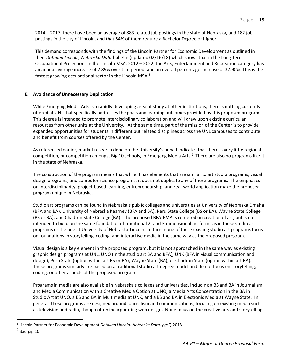2014 – 2017, there have been an average of 883 related job postings in the state of Nebraska, and 182 job postings in the city of Lincoln, and that 84% of them require a Bachelor Degree or higher.

This demand corresponds with the findings of the Lincoln Partner for Economic Development as outlined in their *Detailed Lincoln, Nebraska Data* bulletin (updated 02/16/18) which shows that in the Long Term Occupational Projections in the Lincoln MSA, 2012 – 2022, the Arts, Entertainment and Recreation category has an annual average increase of 2.89% over that period, and an overall percentage increase of 32.90%. This is the fastest growing occupational sector in the Lincoln MSA.8

#### **E. Avoidance of Unnecessary Duplication**

While Emerging Media Arts is a rapidly developing area of study at other institutions, there is nothing currently offered at UNL that specifically addresses the goals and learning outcomes provided by this proposed program. This degree is intended to promote interdisciplinary collaboration and will draw upon existing curricular resources from other units at the University. At the same time, part of the mission of the Center is to provide expanded opportunities for students in different but related disciplines across the UNL campuses to contribute and benefit from courses offered by the Center.

As referenced earlier, market research done on the University's behalf indicates that there is very little regional competition, or competition amongst Big 10 schools, in Emerging Media Arts.<sup>9</sup> There are also no programs like it in the state of Nebraska.

The construction of the program means that while it has elements that are similar to art studio programs, visual design programs, and computer science programs, it does not duplicate any of these programs. The emphases on interdisciplinarity, project-based learning, entrepreneurship, and real-world application make the proposed program unique in Nebraska.

Studio art programs can be found in Nebraska's public colleges and universities at University of Nebraska Omaha (BFA and BA), University of Nebraska Kearney (BFA and BA), Peru State College (BS or BA), Wayne State College (BS or BA), and Chadron State College (BA). The proposed BFA-EMA is centered on creation of art, but is not intended to build on the same foundation of traditional 2- and 3-dimensional art forms as in these studio art programs or the one at University of Nebraska-Lincoln. In turn, none of these existing studio art programs focus on foundations in storytelling, coding, and interactive media in the same way as the proposed program.

Visual design is a key element in the proposed program, but it is not approached in the same way as existing graphic design programs at UNL, UNO (in the studio art BA and BFA), UNK (BFA in visual communication and design), Peru State (option within art BS or BA), Wayne State (BA), or Chadron State (option within art BA). These programs similarly are based on a traditional studio art degree model and do not focus on storytelling, coding, or other aspects of the proposed program.

Programs in media are also available in Nebraska's colleges and universities, including a BS and BA in Journalism and Media Communication with a Creative Media Option at UNO, a Media Arts Concentration in the BA in Studio Art at UNO, a BS and BA in Multimedia at UNK, and a BS and BA in Electronic Media at Wayne State. In general, these programs are designed around journalism and communications, focusing on existing media such as television and radio, though often incorporating web design. None focus on the creative arts and storytelling

 <sup>8</sup> Lincoln Partner for Economic Development *Detailed Lincoln, Nebraska Data, pg:7,* <sup>2018</sup>

 $9$  ibid pg. 10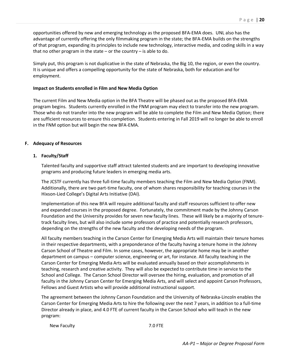opportunities offered by new and emerging technology as the proposed BFA-EMA does. UNL also has the advantage of currently offering the only filmmaking program in the state; the BFA-EMA builds on the strengths of that program, expanding its principles to include new technology, interactive media, and coding skills in a way that no other program in the state  $-$  or the country  $-$  is able to do.

Simply put, this program is not duplicative in the state of Nebraska, the Big 10, the region, or even the country. It is unique and offers a compelling opportunity for the state of Nebraska, both for education and for employment.

#### **Impact on Students enrolled in Film and New Media Option**

The current Film and New Media option in the BFA Theatre will be phased out as the proposed BFA-EMA program begins. Students currently enrolled in the FNM program may elect to transfer into the new program. Those who do not transfer into the new program will be able to complete the Film and New Media Option; there are sufficient resources to ensure this completion. Students entering in Fall 2019 will no longer be able to enroll in the FNM option but will begin the new BFA-EMA.

#### **F. Adequacy of Resources**

#### **1. Faculty/Staff**

Talented faculty and supportive staff attract talented students and are important to developing innovative programs and producing future leaders in emerging media arts.

The JCSTF currently has three full-time faculty members teaching the Film and New Media Option (FNM). Additionally, there are two part-time faculty, one of whom shares responsibility for teaching courses in the Hixson-Lied College's Digital Arts Initiative (DAI).

Implementation of this new BFA will require additional faculty and staff resources sufficient to offer new and expanded courses in the proposed degree. Fortunately, the commitment made by the Johnny Carson Foundation and the University provides for seven new faculty lines. These will likely be a majority of tenuretrack faculty lines, but will also include some professors of practice and potentially research professors, depending on the strengths of the new faculty and the developing needs of the program.

All faculty members teaching in the Carson Center for Emerging Media Arts will maintain their tenure homes in their respective departments, with a preponderance of the faculty having a tenure home in the Johnny Carson School of Theatre and Film. In some cases, however, the appropriate home may be in another department on campus – computer science, engineering or art, for instance. All faculty teaching in the Carson Center for Emerging Media Arts will be evaluated annually based on their accomplishments in teaching, research and creative activity. They will also be expected to contribute time in service to the School and College. The Carson School Director will oversee the hiring, evaluation, and promotion of all faculty in the Johnny Carson Center for Emerging Media Arts, and will select and appoint Carson Professors, Fellows and Guest Artists who will provide additional instructional support.

The agreement between the Johnny Carson Foundation and the University of Nebraska-Lincoln enables the Carson Center for Emerging Media Arts to hire the following over the next 7 years, in addition to a full-time Director already in place, and 4.0 FTE of current faculty in the Carson School who will teach in the new program:

New Faculty **7.0 FTE**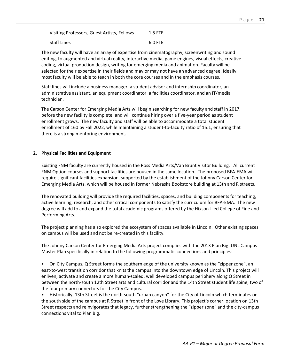| Visiting Professors, Guest Artists, Fellows | $1.5$ FTE |
|---------------------------------------------|-----------|
| <b>Staff Lines</b>                          | 6.0 FTE   |

The new faculty will have an array of expertise from cinematography, screenwriting and sound editing, to augmented and virtual reality, interactive media, game engines, visual effects, creative coding, virtual production design, writing for emerging media and animation. Faculty will be selected for their expertise in their fields and may or may not have an advanced degree. Ideally, most faculty will be able to teach in both the core courses and in the emphasis courses.

Staff lines will include a business manager, a student advisor and internship coordinator, an administrative assistant, an equipment coordinator, a facilities coordinator, and an IT/media technician.

The Carson Center for Emerging Media Arts will begin searching for new faculty and staff in 2017, before the new facility is complete, and will continue hiring over a five-year period as student enrollment grows. The new faculty and staff will be able to accommodate a total student enrollment of 160 by Fall 2022, while maintaining a student-to-faculty ratio of 15:1, ensuring that there is a strong mentoring environment.

#### **2. Physical Facilities and Equipment**

Existing FNM faculty are currently housed in the Ross Media Arts/Van Brunt Visitor Building. All current FNM Option courses and support facilities are housed in the same location. The proposed BFA-EMA will require significant facilities expansion, supported by the establishment of the Johnny Carson Center for Emerging Media Arts, which will be housed in former Nebraska Bookstore building at 13th and R streets.

The renovated building will provide the required facilities, spaces, and building components for teaching, active learning, research, and other critical components to satisfy the curriculum for BFA-EMA. The new degree will add to and expand the total academic programs offered by the Hixson-Lied College of Fine and Performing Arts.

The project planning has also explored the ecosystem of spaces available in Lincoln. Other existing spaces on campus will be used and not be re-created in this facility.

The Johnny Carson Center for Emerging Media Arts project complies with the 2013 Plan Big: UNL Campus Master Plan specifically in relation to the following programmatic connections and principles:

• On City Campus, Q Street forms the southern edge of the university known as the "zipper zone", an east-to-west transition corridor that knits the campus into the downtown edge of Lincoln. This project will enliven, activate and create a more human-scaled, well developed campus periphery along Q Street in between the north-south 12th Street arts and cultural corridor and the 14th Street student life spine, two of the four primary connectors for the City Campus.

• Historically, 13th Street is the north-south "urban canyon" for the City of Lincoln which terminates on the south side of the campus at R Street in front of the Love Library. This project's corner location on 13th Street respects and reinvigorates that legacy, further strengthening the "zipper zone" and the city-campus connections vital to Plan Big.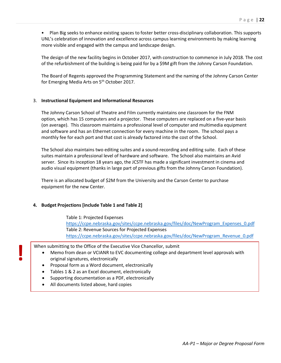• Plan Big seeks to enhance existing spaces to foster better cross-disciplinary collaboration. This supports UNL's celebration of innovation and excellence across campus learning environments by making learning more visible and engaged with the campus and landscape design.

The design of the new facility begins in October 2017, with construction to commence in July 2018. The cost of the refurbishment of the building is being paid for by a \$9M gift from the Johnny Carson Foundation.

The Board of Regents approved the Programming Statement and the naming of the Johnny Carson Center for Emerging Media Arts on 5<sup>th</sup> October 2017.

#### 3. **Instructional Equipment and Informational Resources**

The Johnny Carson School of Theatre and Film currently maintains one classroom for the FNM option, which has 15 computers and a projector. These computers are replaced on a five-year basis (on average). This classroom maintains a professional level of computer and multimedia equipment and software and has an Ethernet connection for every machine in the room. The school pays a monthly fee for each port and that cost is already factored into the cost of the School.

The School also maintains two editing suites and a sound-recording and editing suite. Each of these suites maintain a professional level of hardware and software. The School also maintains an Avid server. Since its inception 18 years ago, the JCSTF has made a significant investment in cinema and audio visual equipment (thanks in large part of previous gifts from the Johnny Carson Foundation).

There is an allocated budget of \$2M from the University and the Carson Center to purchase equipment for the new Center.

#### **4. Budget Projections [include Table 1 and Table 2]**

Table 1: Projected Expenses https://ccpe.nebraska.gov/sites/ccpe.nebraska.gov/files/doc/NewProgram\_Expenses\_0.pdf Table 2: Revenue Sources for Projected Expenses https://ccpe.nebraska.gov/sites/ccpe.nebraska.gov/files/doc/NewProgram\_Revenue\_0.pdf

**!** When submitting to the Office of the Executive Vice Chancellor, submit

- Memo from dean or VCIANR to EVC documenting college and department level approvals with original signatures, electronically
- Proposal form as a Word document, electronically
- Tables 1 & 2 as an Excel document, electronically
- Supporting documentation as a PDF, electronically
- All documents listed above, hard copies